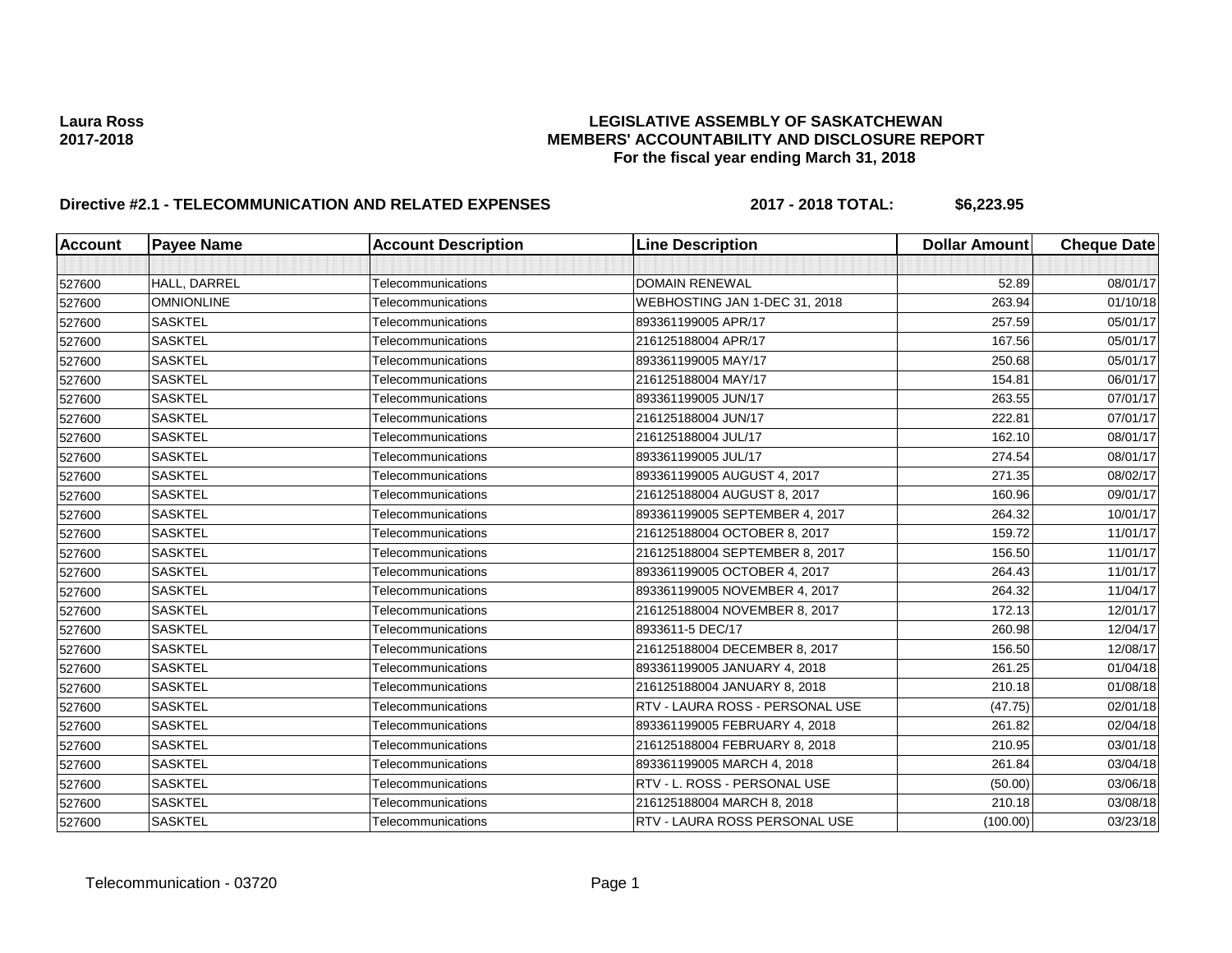## **Laura Ross LEGISLATIVE ASSEMBLY OF SASKATCHEWAN 2017-2018 MEMBERS' ACCOUNTABILITY AND DISCLOSURE REPORT For the fiscal year ending March 31, 2018**

# **Directive #2.1 - TELECOMMUNICATION AND RELATED EXPENSES 2017 - 2018 TOTAL: \$6,223.95**

| <b>Account</b> | <b>Payee Name</b> | <b>Account Description</b> | <b>Line Description</b>         | <b>Dollar Amount</b> | <b>Cheque Date</b> |
|----------------|-------------------|----------------------------|---------------------------------|----------------------|--------------------|
|                |                   |                            |                                 |                      |                    |
| 527600         | HALL, DARREL      | Telecommunications         | <b>DOMAIN RENEWAL</b>           | 52.89                | 08/01/17           |
| 527600         | <b>OMNIONLINE</b> | Telecommunications         | WEBHOSTING JAN 1-DEC 31, 2018   | 263.94               | 01/10/18           |
| 527600         | <b>SASKTEL</b>    | Telecommunications         | 893361199005 APR/17             | 257.59               | 05/01/17           |
| 527600         | <b>SASKTEL</b>    | Telecommunications         | 216125188004 APR/17             | 167.56               | 05/01/17           |
| 527600         | <b>SASKTEL</b>    | Telecommunications         | 893361199005 MAY/17             | 250.68               | 05/01/17           |
| 527600         | <b>SASKTEL</b>    | Telecommunications         | 216125188004 MAY/17             | 154.81               | 06/01/17           |
| 527600         | <b>SASKTEL</b>    | Telecommunications         | 893361199005 JUN/17             | 263.55               | 07/01/17           |
| 527600         | <b>SASKTEL</b>    | Telecommunications         | 216125188004 JUN/17             | 222.81               | 07/01/17           |
| 527600         | <b>SASKTEL</b>    | Telecommunications         | 216125188004 JUL/17             | 162.10               | 08/01/17           |
| 527600         | <b>SASKTEL</b>    | Telecommunications         | 893361199005 JUL/17             | 274.54               | 08/01/17           |
| 527600         | <b>SASKTEL</b>    | Telecommunications         | 893361199005 AUGUST 4, 2017     | 271.35               | 08/02/17           |
| 527600         | <b>SASKTEL</b>    | Telecommunications         | 216125188004 AUGUST 8, 2017     | 160.96               | 09/01/17           |
| 527600         | <b>SASKTEL</b>    | Telecommunications         | 893361199005 SEPTEMBER 4, 2017  | 264.32               | 10/01/17           |
| 527600         | <b>SASKTEL</b>    | Telecommunications         | 216125188004 OCTOBER 8, 2017    | 159.72               | 11/01/17           |
| 527600         | <b>SASKTEL</b>    | Telecommunications         | 216125188004 SEPTEMBER 8, 2017  | 156.50               | 11/01/17           |
| 527600         | <b>SASKTEL</b>    | Telecommunications         | 893361199005 OCTOBER 4, 2017    | 264.43               | 11/01/17           |
| 527600         | <b>SASKTEL</b>    | Telecommunications         | 893361199005 NOVEMBER 4, 2017   | 264.32               | 11/04/17           |
| 527600         | <b>SASKTEL</b>    | Telecommunications         | 216125188004 NOVEMBER 8, 2017   | 172.13               | 12/01/17           |
| 527600         | <b>SASKTEL</b>    | Telecommunications         | 8933611-5 DEC/17                | 260.98               | 12/04/17           |
| 527600         | <b>SASKTEL</b>    | Telecommunications         | 216125188004 DECEMBER 8, 2017   | 156.50               | 12/08/17           |
| 527600         | <b>SASKTEL</b>    | Telecommunications         | 893361199005 JANUARY 4, 2018    | 261.25               | 01/04/18           |
| 527600         | <b>SASKTEL</b>    | Telecommunications         | 216125188004 JANUARY 8, 2018    | 210.18               | 01/08/18           |
| 527600         | <b>SASKTEL</b>    | Telecommunications         | RTV - LAURA ROSS - PERSONAL USE | (47.75)              | 02/01/18           |
| 527600         | <b>SASKTEL</b>    | Telecommunications         | 893361199005 FEBRUARY 4, 2018   | 261.82               | 02/04/18           |
| 527600         | <b>SASKTEL</b>    | Telecommunications         | 216125188004 FEBRUARY 8, 2018   | 210.95               | 03/01/18           |
| 527600         | <b>SASKTEL</b>    | Telecommunications         | 893361199005 MARCH 4, 2018      | 261.84               | 03/04/18           |
| 527600         | <b>SASKTEL</b>    | Telecommunications         | RTV - L. ROSS - PERSONAL USE    | (50.00)              | 03/06/18           |
| 527600         | <b>SASKTEL</b>    | Telecommunications         | 216125188004 MARCH 8, 2018      | 210.18               | 03/08/18           |
| 527600         | <b>SASKTEL</b>    | Telecommunications         | RTV - LAURA ROSS PERSONAL USE   | (100.00)             | 03/23/18           |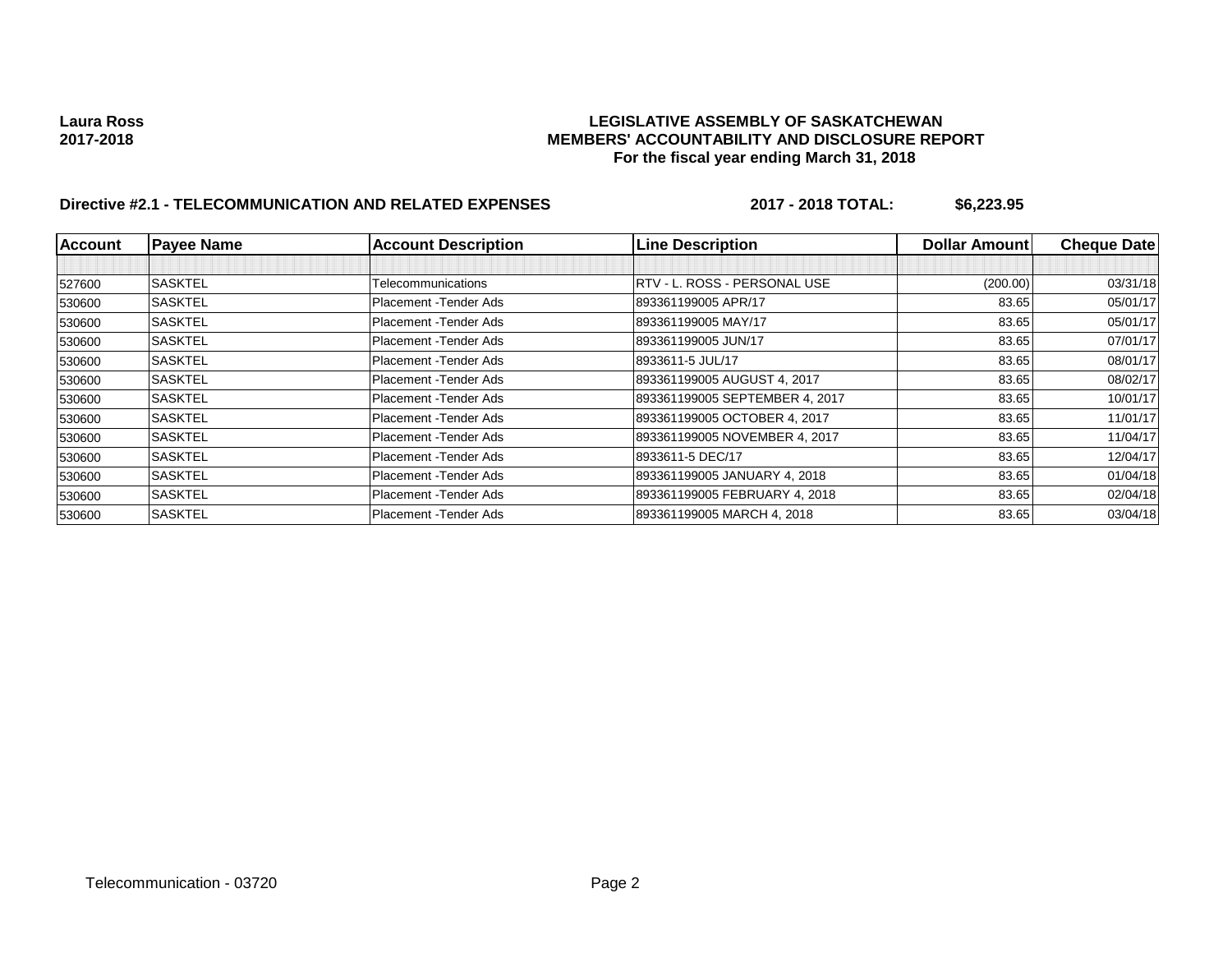## **Laura Ross LEGISLATIVE ASSEMBLY OF SASKATCHEWAN 2017-2018 MEMBERS' ACCOUNTABILITY AND DISCLOSURE REPORT For the fiscal year ending March 31, 2018**

# **Directive #2.1 - TELECOMMUNICATION AND RELATED EXPENSES 2017 - 2018 TOTAL: \$6,223.95**

| <b>Account</b> | <b>Payee Name</b> | <b>Account Description</b> | <b>Line Description</b>        | <b>Dollar Amountl</b> | <b>Cheque Date</b> |
|----------------|-------------------|----------------------------|--------------------------------|-----------------------|--------------------|
|                |                   |                            |                                |                       |                    |
| 527600         | <b>SASKTEL</b>    | Telecommunications         | IRTV - L. ROSS - PERSONAL USE  | (200.00)              | 03/31/18           |
| 530600         | <b>SASKTEL</b>    | Placement - Tender Ads     | 893361199005 APR/17            | 83.65                 | 05/01/17           |
| 530600         | <b>SASKTEL</b>    | Placement - Tender Ads     | 893361199005 MAY/17            | 83.65                 | 05/01/17           |
| 530600         | <b>SASKTEL</b>    | Placement - Tender Ads     | 893361199005 JUN/17            | 83.65                 | 07/01/17           |
| 530600         | <b>SASKTEL</b>    | Placement - Tender Ads     | 8933611-5 JUL/17               | 83.65                 | 08/01/17           |
| 530600         | <b>SASKTEL</b>    | Placement - Tender Ads     | 893361199005 AUGUST 4, 2017    | 83.65                 | 08/02/17           |
| 530600         | <b>SASKTEL</b>    | Placement - Tender Ads     | 893361199005 SEPTEMBER 4, 2017 | 83.65                 | 10/01/17           |
| 530600         | <b>SASKTEL</b>    | Placement - Tender Ads     | 893361199005 OCTOBER 4, 2017   | 83.65                 | 11/01/17           |
| 530600         | <b>SASKTEL</b>    | Placement - Tender Ads     | 893361199005 NOVEMBER 4, 2017  | 83.65                 | 11/04/17           |
| 530600         | <b>SASKTEL</b>    | Placement - Tender Ads     | 8933611-5 DEC/17               | 83.65                 | 12/04/17           |
| 530600         | <b>SASKTEL</b>    | Placement - Tender Ads     | 893361199005 JANUARY 4, 2018   | 83.65                 | 01/04/18           |
| 530600         | <b>SASKTEL</b>    | Placement - Tender Ads     | 893361199005 FEBRUARY 4, 2018  | 83.65                 | 02/04/18           |
| 530600         | <b>SASKTEL</b>    | Placement - Tender Ads     | 893361199005 MARCH 4, 2018     | 83.65                 | 03/04/18           |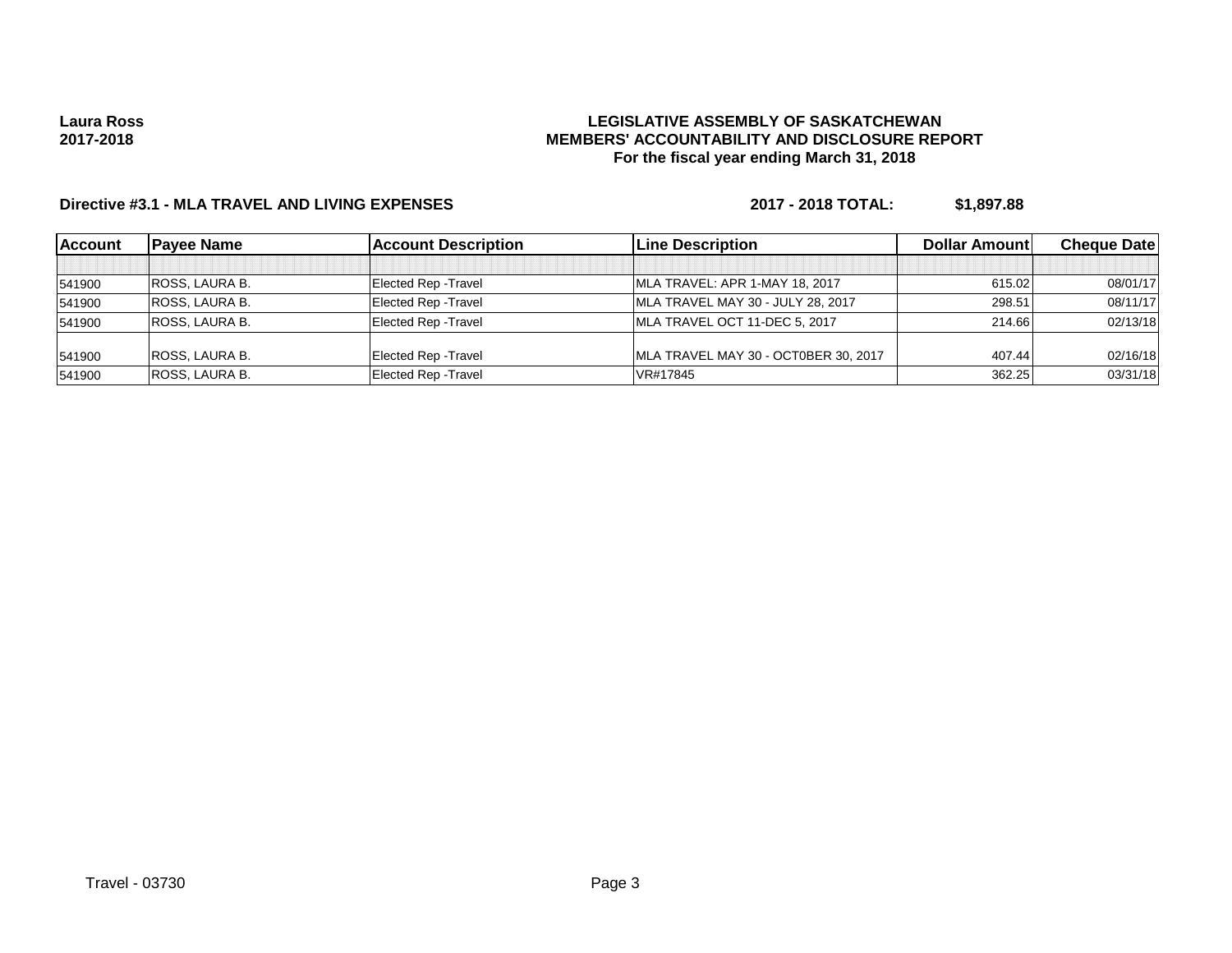### **LEGISLATIVE ASSEMBLY OF SASKATCHEWAN MEMBERS' ACCOUNTABILITY AND DISCLOSURE REPORT For the fiscal year ending March 31, 2018**

# **Directive #3.1 - MLA TRAVEL AND LIVING EXPENSES 2017 - 2018 TOTAL: \$1,897.88**

| <b>Account</b> | <b>Pavee Name</b>     | <b>Account Description</b>  | <b>Line Description</b>              | Dollar Amount | <b>Cheque Datel</b> |
|----------------|-----------------------|-----------------------------|--------------------------------------|---------------|---------------------|
|                |                       |                             |                                      |               |                     |
| 541900         | <b>ROSS, LAURA B.</b> | <b>Elected Rep - Travel</b> | MLA TRAVEL: APR 1-MAY 18, 2017       | 615.02        | 08/01/17            |
| 541900         | <b>ROSS. LAURA B.</b> | <b>Elected Rep - Travel</b> | MLA TRAVEL MAY 30 - JULY 28, 2017    | 298.51        | 08/11/17            |
| 541900         | <b>ROSS. LAURA B.</b> | <b>Elected Rep - Travel</b> | MLA TRAVEL OCT 11-DEC 5, 2017        | 214.66        | 02/13/18            |
| 541900         | <b>ROSS. LAURA B.</b> | <b>Elected Rep - Travel</b> | MLA TRAVEL MAY 30 - OCT0BER 30, 2017 | 407.44        | 02/16/18            |
| 541900         | <b>ROSS. LAURA B.</b> | <b>Elected Rep - Travel</b> | VR#17845                             | 362.25        | 03/31/18            |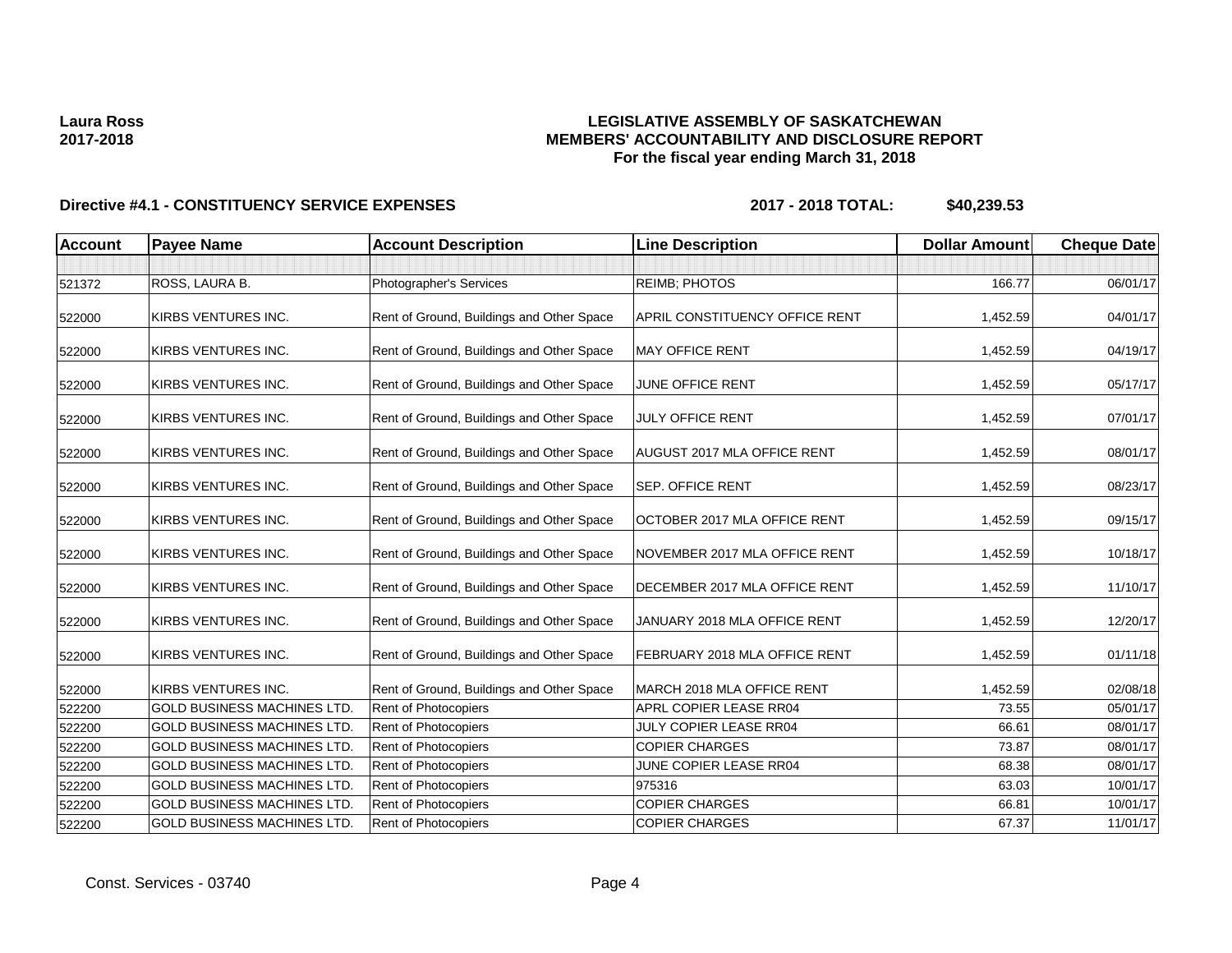# **LEGISLATIVE ASSEMBLY OF SASKATCHEWAN MEMBERS' ACCOUNTABILITY AND DISCLOSURE REPORT For the fiscal year ending March 31, 2018**

| <b>Account</b> | <b>Payee Name</b>                  | <b>Account Description</b>                | <b>Line Description</b>               | <b>Dollar Amount</b> | <b>Cheque Date</b> |
|----------------|------------------------------------|-------------------------------------------|---------------------------------------|----------------------|--------------------|
|                |                                    |                                           |                                       |                      |                    |
| 521372         | ROSS, LAURA B.                     | Photographer's Services                   | <b>REIMB; PHOTOS</b>                  | 166.77               | 06/01/17           |
| 522000         | KIRBS VENTURES INC.                | Rent of Ground, Buildings and Other Space | <b>APRIL CONSTITUENCY OFFICE RENT</b> | 1,452.59             | 04/01/17           |
| 522000         | KIRBS VENTURES INC.                | Rent of Ground, Buildings and Other Space | <b>MAY OFFICE RENT</b>                | 1,452.59             | 04/19/17           |
| 522000         | KIRBS VENTURES INC.                | Rent of Ground, Buildings and Other Space | JUNE OFFICE RENT                      | 1,452.59             | 05/17/17           |
| 522000         | KIRBS VENTURES INC.                | Rent of Ground, Buildings and Other Space | <b>JULY OFFICE RENT</b>               | 1,452.59             | 07/01/17           |
| 522000         | KIRBS VENTURES INC.                | Rent of Ground, Buildings and Other Space | <b>AUGUST 2017 MLA OFFICE RENT</b>    | 1,452.59             | 08/01/17           |
| 522000         | KIRBS VENTURES INC.                | Rent of Ground, Buildings and Other Space | <b>SEP. OFFICE RENT</b>               | 1,452.59             | 08/23/17           |
| 522000         | KIRBS VENTURES INC.                | Rent of Ground, Buildings and Other Space | OCTOBER 2017 MLA OFFICE RENT          | 1,452.59             | 09/15/17           |
| 522000         | KIRBS VENTURES INC.                | Rent of Ground, Buildings and Other Space | NOVEMBER 2017 MLA OFFICE RENT         | 1,452.59             | 10/18/17           |
| 522000         | KIRBS VENTURES INC.                | Rent of Ground, Buildings and Other Space | DECEMBER 2017 MLA OFFICE RENT         | 1,452.59             | 11/10/17           |
| 522000         | KIRBS VENTURES INC.                | Rent of Ground, Buildings and Other Space | JANUARY 2018 MLA OFFICE RENT          | 1,452.59             | 12/20/17           |
| 522000         | KIRBS VENTURES INC.                | Rent of Ground, Buildings and Other Space | FEBRUARY 2018 MLA OFFICE RENT         | 1,452.59             | 01/11/18           |
| 522000         | KIRBS VENTURES INC.                | Rent of Ground, Buildings and Other Space | MARCH 2018 MLA OFFICE RENT            | 1,452.59             | 02/08/18           |
| 522200         | <b>GOLD BUSINESS MACHINES LTD.</b> | Rent of Photocopiers                      | APRL COPIER LEASE RR04                | 73.55                | 05/01/17           |
| 522200         | <b>GOLD BUSINESS MACHINES LTD.</b> | Rent of Photocopiers                      | JULY COPIER LEASE RR04                | 66.61                | 08/01/17           |
| 522200         | <b>GOLD BUSINESS MACHINES LTD.</b> | Rent of Photocopiers                      | <b>COPIER CHARGES</b>                 | 73.87                | 08/01/17           |
| 522200         | <b>GOLD BUSINESS MACHINES LTD.</b> | Rent of Photocopiers                      | JUNE COPIER LEASE RR04                | 68.38                | 08/01/17           |
| 522200         | <b>GOLD BUSINESS MACHINES LTD.</b> | Rent of Photocopiers                      | 975316                                | 63.03                | 10/01/17           |
| 522200         | <b>GOLD BUSINESS MACHINES LTD.</b> | Rent of Photocopiers                      | <b>COPIER CHARGES</b>                 | 66.81                | 10/01/17           |
| 522200         | <b>GOLD BUSINESS MACHINES LTD.</b> | Rent of Photocopiers                      | <b>COPIER CHARGES</b>                 | 67.37                | 11/01/17           |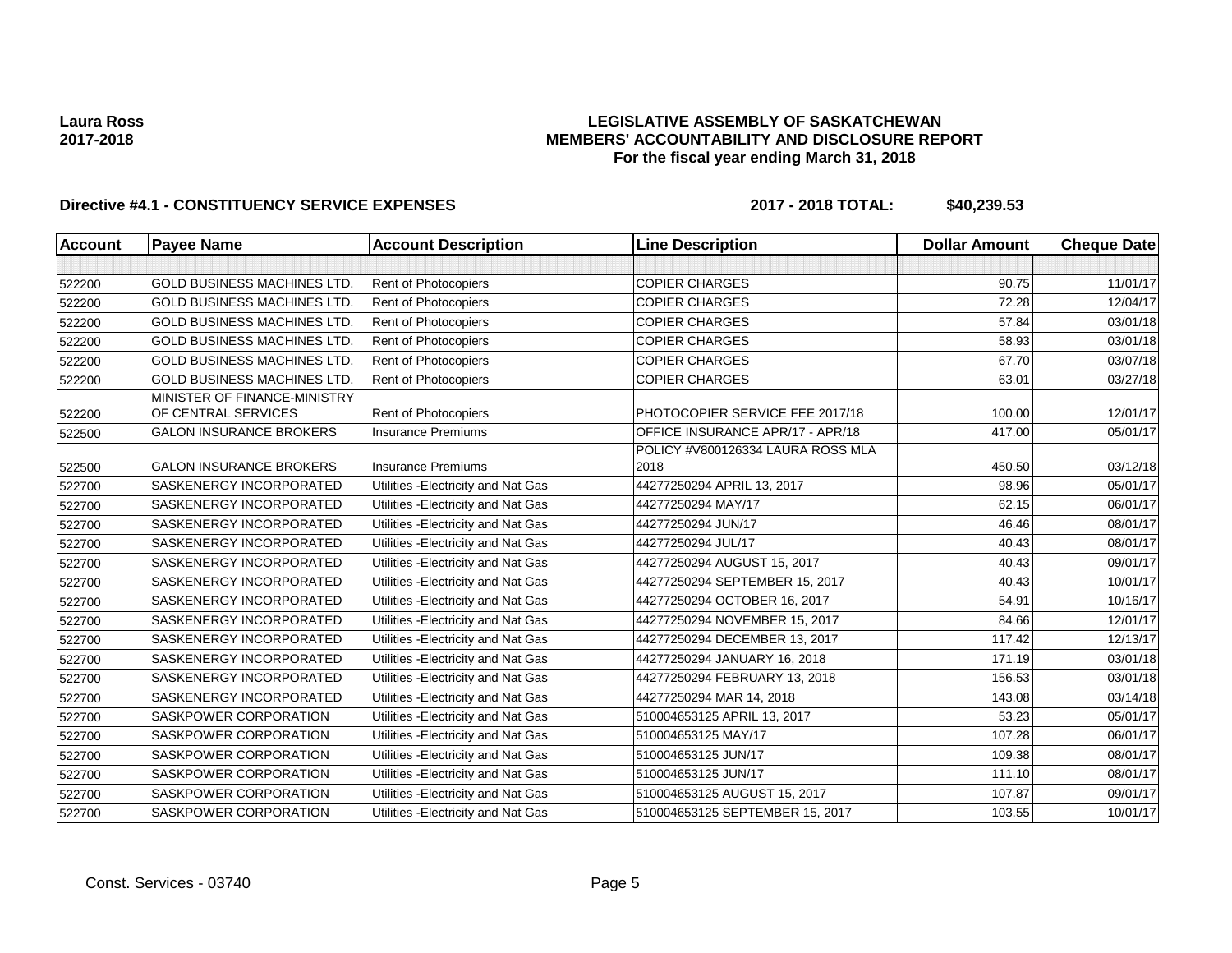## **LEGISLATIVE ASSEMBLY OF SASKATCHEWAN MEMBERS' ACCOUNTABILITY AND DISCLOSURE REPORT For the fiscal year ending March 31, 2018**

| <b>Account</b> | <b>Payee Name</b>                                   | <b>Account Description</b>          | <b>Line Description</b>           | <b>Dollar Amount</b> | <b>Cheque Date</b> |
|----------------|-----------------------------------------------------|-------------------------------------|-----------------------------------|----------------------|--------------------|
|                |                                                     |                                     |                                   |                      |                    |
| 522200         | <b>GOLD BUSINESS MACHINES LTD.</b>                  | Rent of Photocopiers                | <b>COPIER CHARGES</b>             | 90.75                | 11/01/17           |
| 522200         | <b>GOLD BUSINESS MACHINES LTD.</b>                  | Rent of Photocopiers                | <b>COPIER CHARGES</b>             | 72.28                | 12/04/17           |
| 522200         | <b>GOLD BUSINESS MACHINES LTD.</b>                  | <b>Rent of Photocopiers</b>         | <b>COPIER CHARGES</b>             | 57.84                | 03/01/18           |
| 522200         | <b>GOLD BUSINESS MACHINES LTD.</b>                  | Rent of Photocopiers                | <b>COPIER CHARGES</b>             | 58.93                | 03/01/18           |
| 522200         | <b>GOLD BUSINESS MACHINES LTD.</b>                  | Rent of Photocopiers                | <b>COPIER CHARGES</b>             | 67.70                | 03/07/18           |
| 522200         | <b>GOLD BUSINESS MACHINES LTD.</b>                  | Rent of Photocopiers                | <b>COPIER CHARGES</b>             | 63.01                | 03/27/18           |
| 522200         | MINISTER OF FINANCE-MINISTRY<br>OF CENTRAL SERVICES | Rent of Photocopiers                | PHOTOCOPIER SERVICE FEE 2017/18   | 100.00               | 12/01/17           |
| 522500         | <b>GALON INSURANCE BROKERS</b>                      | <b>Insurance Premiums</b>           | OFFICE INSURANCE APR/17 - APR/18  | 417.00               | 05/01/17           |
|                |                                                     |                                     | POLICY #V800126334 LAURA ROSS MLA |                      |                    |
| 522500         | <b>GALON INSURANCE BROKERS</b>                      | <b>Insurance Premiums</b>           | 2018                              | 450.50               | 03/12/18           |
| 522700         | <b>SASKENERGY INCORPORATED</b>                      | Utilities - Electricity and Nat Gas | 44277250294 APRIL 13, 2017        | 98.96                | 05/01/17           |
| 522700         | <b>SASKENERGY INCORPORATED</b>                      | Utilities - Electricity and Nat Gas | 44277250294 MAY/17                | 62.15                | 06/01/17           |
| 522700         | SASKENERGY INCORPORATED                             | Utilities - Electricity and Nat Gas | 44277250294 JUN/17                | 46.46                | 08/01/17           |
| 522700         | <b>SASKENERGY INCORPORATED</b>                      | Utilities - Electricity and Nat Gas | 44277250294 JUL/17                | 40.43                | 08/01/17           |
| 522700         | SASKENERGY INCORPORATED                             | Utilities - Electricity and Nat Gas | 44277250294 AUGUST 15, 2017       | 40.43                | 09/01/17           |
| 522700         | SASKENERGY INCORPORATED                             | Utilities - Electricity and Nat Gas | 44277250294 SEPTEMBER 15, 2017    | 40.43                | 10/01/17           |
| 522700         | SASKENERGY INCORPORATED                             | Utilities - Electricity and Nat Gas | 44277250294 OCTOBER 16, 2017      | 54.91                | 10/16/17           |
| 522700         | SASKENERGY INCORPORATED                             | Utilities - Electricity and Nat Gas | 44277250294 NOVEMBER 15, 2017     | 84.66                | 12/01/17           |
| 522700         | SASKENERGY INCORPORATED                             | Utilities - Electricity and Nat Gas | 44277250294 DECEMBER 13, 2017     | 117.42               | 12/13/17           |
| 522700         | SASKENERGY INCORPORATED                             | Utilities - Electricity and Nat Gas | 44277250294 JANUARY 16, 2018      | 171.19               | 03/01/18           |
| 522700         | <b>SASKENERGY INCORPORATED</b>                      | Utilities - Electricity and Nat Gas | 44277250294 FEBRUARY 13, 2018     | 156.53               | 03/01/18           |
| 522700         | SASKENERGY INCORPORATED                             | Utilities - Electricity and Nat Gas | 44277250294 MAR 14, 2018          | 143.08               | 03/14/18           |
| 522700         | SASKPOWER CORPORATION                               | Utilities - Electricity and Nat Gas | 510004653125 APRIL 13, 2017       | 53.23                | 05/01/17           |
| 522700         | <b>SASKPOWER CORPORATION</b>                        | Utilities - Electricity and Nat Gas | 510004653125 MAY/17               | 107.28               | 06/01/17           |
| 522700         | SASKPOWER CORPORATION                               | Utilities - Electricity and Nat Gas | 510004653125 JUN/17               | 109.38               | 08/01/17           |
| 522700         | <b>SASKPOWER CORPORATION</b>                        | Utilities - Electricity and Nat Gas | 510004653125 JUN/17               | 111.10               | 08/01/17           |
| 522700         | SASKPOWER CORPORATION                               | Utilities - Electricity and Nat Gas | 510004653125 AUGUST 15, 2017      | 107.87               | 09/01/17           |
| 522700         | SASKPOWER CORPORATION                               | Utilities - Electricity and Nat Gas | 510004653125 SEPTEMBER 15, 2017   | 103.55               | 10/01/17           |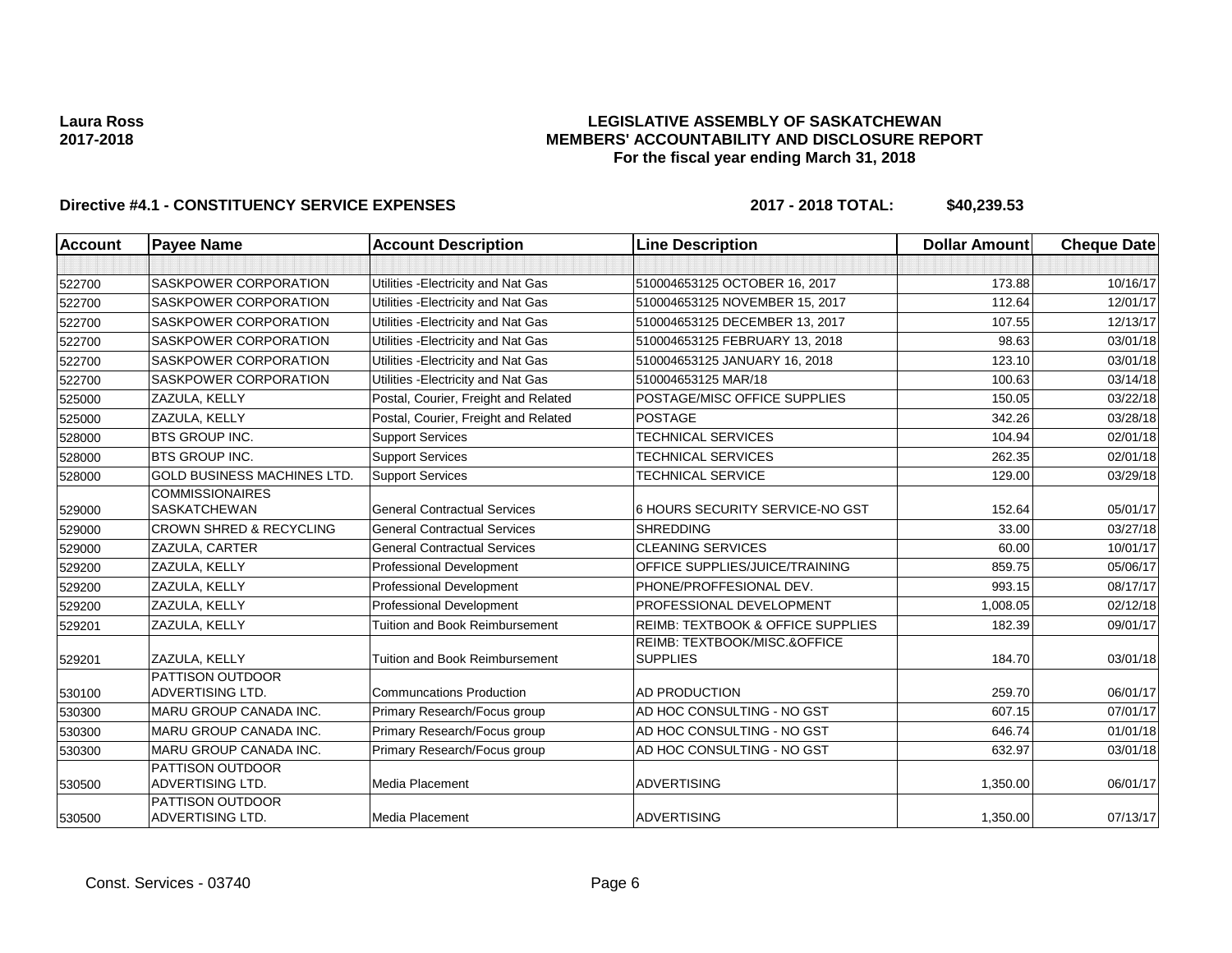## **LEGISLATIVE ASSEMBLY OF SASKATCHEWAN MEMBERS' ACCOUNTABILITY AND DISCLOSURE REPORT For the fiscal year ending March 31, 2018**

| <b>Account</b> | <b>Payee Name</b>                                  | <b>Account Description</b>            | <b>Line Description</b>                         | <b>Dollar Amount</b> | <b>Cheque Date</b> |
|----------------|----------------------------------------------------|---------------------------------------|-------------------------------------------------|----------------------|--------------------|
|                |                                                    |                                       |                                                 |                      |                    |
| 522700         | <b>SASKPOWER CORPORATION</b>                       | Utilities - Electricity and Nat Gas   | 510004653125 OCTOBER 16, 2017                   | 173.88               | 10/16/17           |
| 522700         | <b>SASKPOWER CORPORATION</b>                       | Utilities - Electricity and Nat Gas   | 510004653125 NOVEMBER 15, 2017                  | 112.64               | 12/01/17           |
| 522700         | <b>SASKPOWER CORPORATION</b>                       | Utilities - Electricity and Nat Gas   | 510004653125 DECEMBER 13, 2017                  | 107.55               | 12/13/17           |
| 522700         | SASKPOWER CORPORATION                              | Utilities - Electricity and Nat Gas   | 510004653125 FEBRUARY 13, 2018                  | 98.63                | 03/01/18           |
| 522700         | <b>SASKPOWER CORPORATION</b>                       | Utilities - Electricity and Nat Gas   | 510004653125 JANUARY 16, 2018                   | 123.10               | 03/01/18           |
| 522700         | <b>SASKPOWER CORPORATION</b>                       | Utilities - Electricity and Nat Gas   | 510004653125 MAR/18                             | 100.63               | 03/14/18           |
| 525000         | ZAZULA, KELLY                                      | Postal, Courier, Freight and Related  | POSTAGE/MISC OFFICE SUPPLIES                    | 150.05               | 03/22/18           |
| 525000         | ZAZULA, KELLY                                      | Postal, Courier, Freight and Related  | <b>POSTAGE</b>                                  | 342.26               | 03/28/18           |
| 528000         | <b>BTS GROUP INC.</b>                              | <b>Support Services</b>               | TECHNICAL SERVICES                              | 104.94               | 02/01/18           |
| 528000         | <b>BTS GROUP INC.</b>                              | <b>Support Services</b>               | TECHNICAL SERVICES                              | 262.35               | 02/01/18           |
| 528000         | <b>GOLD BUSINESS MACHINES LTD.</b>                 | <b>Support Services</b>               | <b>TECHNICAL SERVICE</b>                        | 129.00               | 03/29/18           |
| 529000         | <b>COMMISSIONAIRES</b><br><b>SASKATCHEWAN</b>      | <b>General Contractual Services</b>   | 6 HOURS SECURITY SERVICE-NO GST                 | 152.64               | 05/01/17           |
| 529000         | <b>CROWN SHRED &amp; RECYCLING</b>                 | <b>General Contractual Services</b>   | <b>SHREDDING</b>                                | 33.00                | 03/27/18           |
| 529000         | ZAZULA, CARTER                                     | <b>General Contractual Services</b>   | <b>CLEANING SERVICES</b>                        | 60.00                | 10/01/17           |
| 529200         | ZAZULA, KELLY                                      | <b>Professional Development</b>       | OFFICE SUPPLIES/JUICE/TRAINING                  | 859.75               | 05/06/17           |
| 529200         | ZAZULA, KELLY                                      | <b>Professional Development</b>       | PHONE/PROFFESIONAL DEV.                         | 993.15               | 08/17/17           |
| 529200         | ZAZULA, KELLY                                      | <b>Professional Development</b>       | PROFESSIONAL DEVELOPMENT                        | 1,008.05             | 02/12/18           |
| 529201         | ZAZULA, KELLY                                      | <b>Tuition and Book Reimbursement</b> | <b>REIMB: TEXTBOOK &amp; OFFICE SUPPLIES</b>    | 182.39               | 09/01/17           |
| 529201         | ZAZULA, KELLY                                      | <b>Tuition and Book Reimbursement</b> | REIMB: TEXTBOOK/MISC.&OFFICE<br><b>SUPPLIES</b> | 184.70               | 03/01/18           |
| 530100         | <b>PATTISON OUTDOOR</b><br>ADVERTISING LTD.        | <b>Communcations Production</b>       | AD PRODUCTION                                   | 259.70               | 06/01/17           |
| 530300         | <b>MARU GROUP CANADA INC.</b>                      | Primary Research/Focus group          | AD HOC CONSULTING - NO GST                      | 607.15               | 07/01/17           |
| 530300         | <b>MARU GROUP CANADA INC.</b>                      | Primary Research/Focus group          | AD HOC CONSULTING - NO GST                      | 646.74               | 01/01/18           |
| 530300         | <b>MARU GROUP CANADA INC.</b>                      | Primary Research/Focus group          | AD HOC CONSULTING - NO GST                      | 632.97               | 03/01/18           |
| 530500         | <b>PATTISON OUTDOOR</b><br>ADVERTISING LTD.        | Media Placement                       | <b>ADVERTISING</b>                              | 1,350.00             | 06/01/17           |
| 530500         | <b>PATTISON OUTDOOR</b><br><b>ADVERTISING LTD.</b> | <b>Media Placement</b>                | <b>ADVERTISING</b>                              | 1,350.00             | 07/13/17           |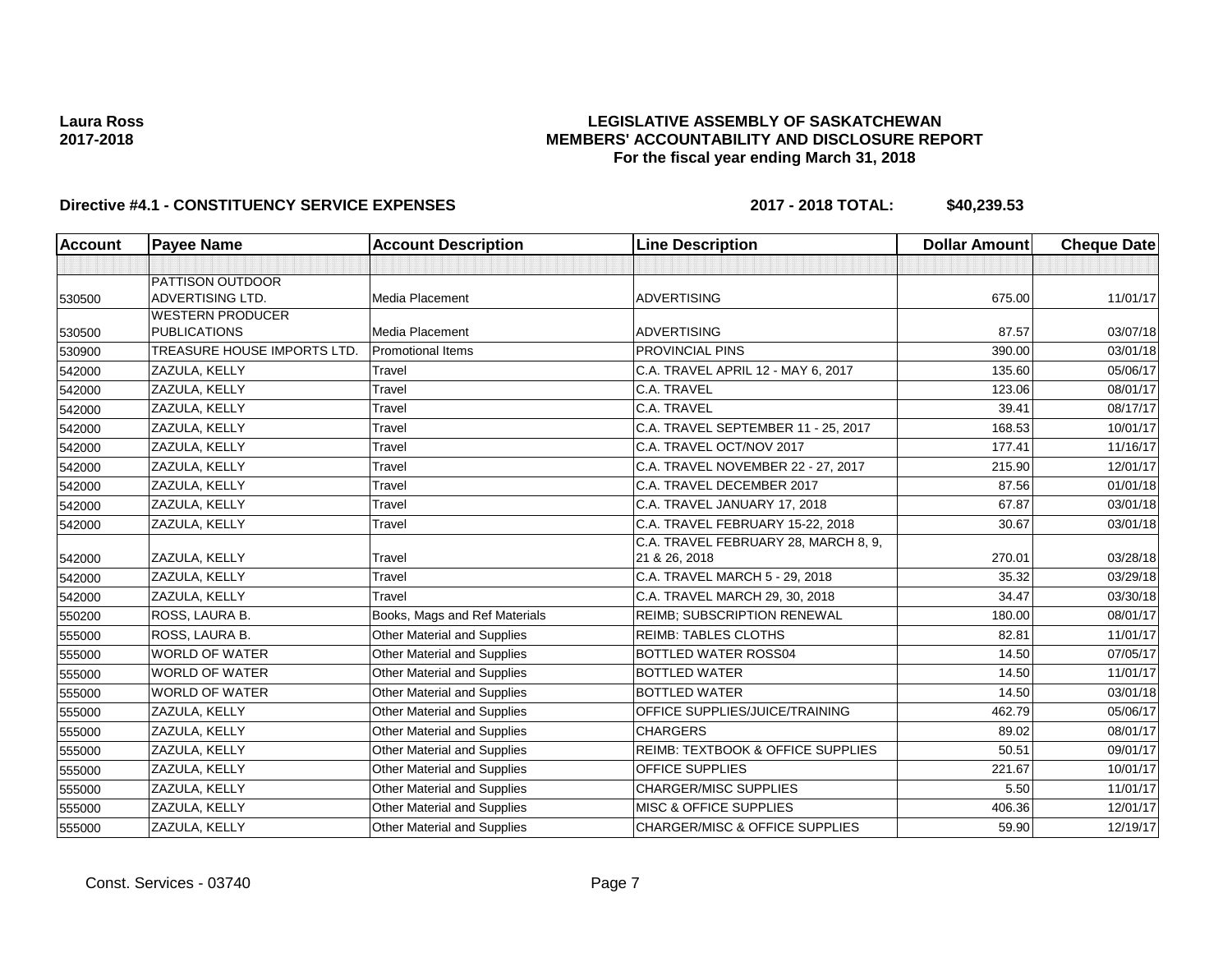## **LEGISLATIVE ASSEMBLY OF SASKATCHEWAN MEMBERS' ACCOUNTABILITY AND DISCLOSURE REPORT For the fiscal year ending March 31, 2018**

| Account | <b>Payee Name</b>                                  | <b>Account Description</b>         | <b>Line Description</b>                               | <b>Dollar Amount</b> | <b>Cheque Date</b> |
|---------|----------------------------------------------------|------------------------------------|-------------------------------------------------------|----------------------|--------------------|
|         |                                                    |                                    |                                                       |                      |                    |
| 530500  | <b>PATTISON OUTDOOR</b><br><b>ADVERTISING LTD.</b> | Media Placement                    | <b>ADVERTISING</b>                                    | 675.00               | 11/01/17           |
| 530500  | <b>WESTERN PRODUCER</b><br><b>PUBLICATIONS</b>     | Media Placement                    | <b>ADVERTISING</b>                                    | 87.57                | 03/07/18           |
| 530900  | TREASURE HOUSE IMPORTS LTD.                        | <b>Promotional Items</b>           | PROVINCIAL PINS                                       | 390.00               | 03/01/18           |
| 542000  | ZAZULA, KELLY                                      | Travel                             | C.A. TRAVEL APRIL 12 - MAY 6, 2017                    | 135.60               | 05/06/17           |
| 542000  | ZAZULA, KELLY                                      | Travel                             | C.A. TRAVEL                                           | 123.06               | 08/01/17           |
| 542000  | ZAZULA, KELLY                                      | Travel                             | C.A. TRAVEL                                           | 39.41                | 08/17/17           |
| 542000  | ZAZULA, KELLY                                      | Travel                             | C.A. TRAVEL SEPTEMBER 11 - 25, 2017                   | 168.53               | 10/01/17           |
| 542000  | ZAZULA, KELLY                                      | Travel                             | C.A. TRAVEL OCT/NOV 2017                              | 177.41               | 11/16/17           |
| 542000  | ZAZULA, KELLY                                      | Travel                             | C.A. TRAVEL NOVEMBER 22 - 27, 2017                    | 215.90               | 12/01/17           |
| 542000  | ZAZULA, KELLY                                      | Travel                             | C.A. TRAVEL DECEMBER 2017                             | 87.56                | 01/01/18           |
| 542000  | ZAZULA, KELLY                                      | Travel                             | C.A. TRAVEL JANUARY 17, 2018                          | 67.87                | 03/01/18           |
| 542000  | ZAZULA, KELLY                                      | Travel                             | C.A. TRAVEL FEBRUARY 15-22, 2018                      | 30.67                | 03/01/18           |
| 542000  | ZAZULA, KELLY                                      | Travel                             | C.A. TRAVEL FEBRUARY 28, MARCH 8, 9,<br>21 & 26, 2018 | 270.01               | 03/28/18           |
| 542000  | ZAZULA, KELLY                                      | Travel                             | C.A. TRAVEL MARCH 5 - 29, 2018                        | 35.32                | 03/29/18           |
| 542000  | ZAZULA, KELLY                                      | Travel                             | C.A. TRAVEL MARCH 29, 30, 2018                        | 34.47                | 03/30/18           |
| 550200  | ROSS, LAURA B.                                     | Books, Mags and Ref Materials      | <b>REIMB: SUBSCRIPTION RENEWAL</b>                    | 180.00               | 08/01/17           |
| 555000  | ROSS, LAURA B.                                     | <b>Other Material and Supplies</b> | <b>REIMB: TABLES CLOTHS</b>                           | 82.81                | 11/01/17           |
| 555000  | <b>WORLD OF WATER</b>                              | <b>Other Material and Supplies</b> | BOTTLED WATER ROSS04                                  | 14.50                | 07/05/17           |
| 555000  | <b>WORLD OF WATER</b>                              | Other Material and Supplies        | <b>BOTTLED WATER</b>                                  | 14.50                | 11/01/17           |
| 555000  | <b>WORLD OF WATER</b>                              | <b>Other Material and Supplies</b> | <b>BOTTLED WATER</b>                                  | 14.50                | 03/01/18           |
| 555000  | ZAZULA, KELLY                                      | Other Material and Supplies        | OFFICE SUPPLIES/JUICE/TRAINING                        | 462.79               | 05/06/17           |
| 555000  | ZAZULA, KELLY                                      | Other Material and Supplies        | <b>CHARGERS</b>                                       | 89.02                | 08/01/17           |
| 555000  | ZAZULA, KELLY                                      | <b>Other Material and Supplies</b> | REIMB: TEXTBOOK & OFFICE SUPPLIES                     | 50.51                | 09/01/17           |
| 555000  | <b>ZAZULA, KELLY</b>                               | <b>Other Material and Supplies</b> | <b>OFFICE SUPPLIES</b>                                | 221.67               | 10/01/17           |
| 555000  | ZAZULA, KELLY                                      | Other Material and Supplies        | <b>CHARGER/MISC SUPPLIES</b>                          | 5.50                 | 11/01/17           |
| 555000  | ZAZULA, KELLY                                      | Other Material and Supplies        | MISC & OFFICE SUPPLIES                                | 406.36               | 12/01/17           |
| 555000  | ZAZULA, KELLY                                      | <b>Other Material and Supplies</b> | CHARGER/MISC & OFFICE SUPPLIES                        | 59.90                | 12/19/17           |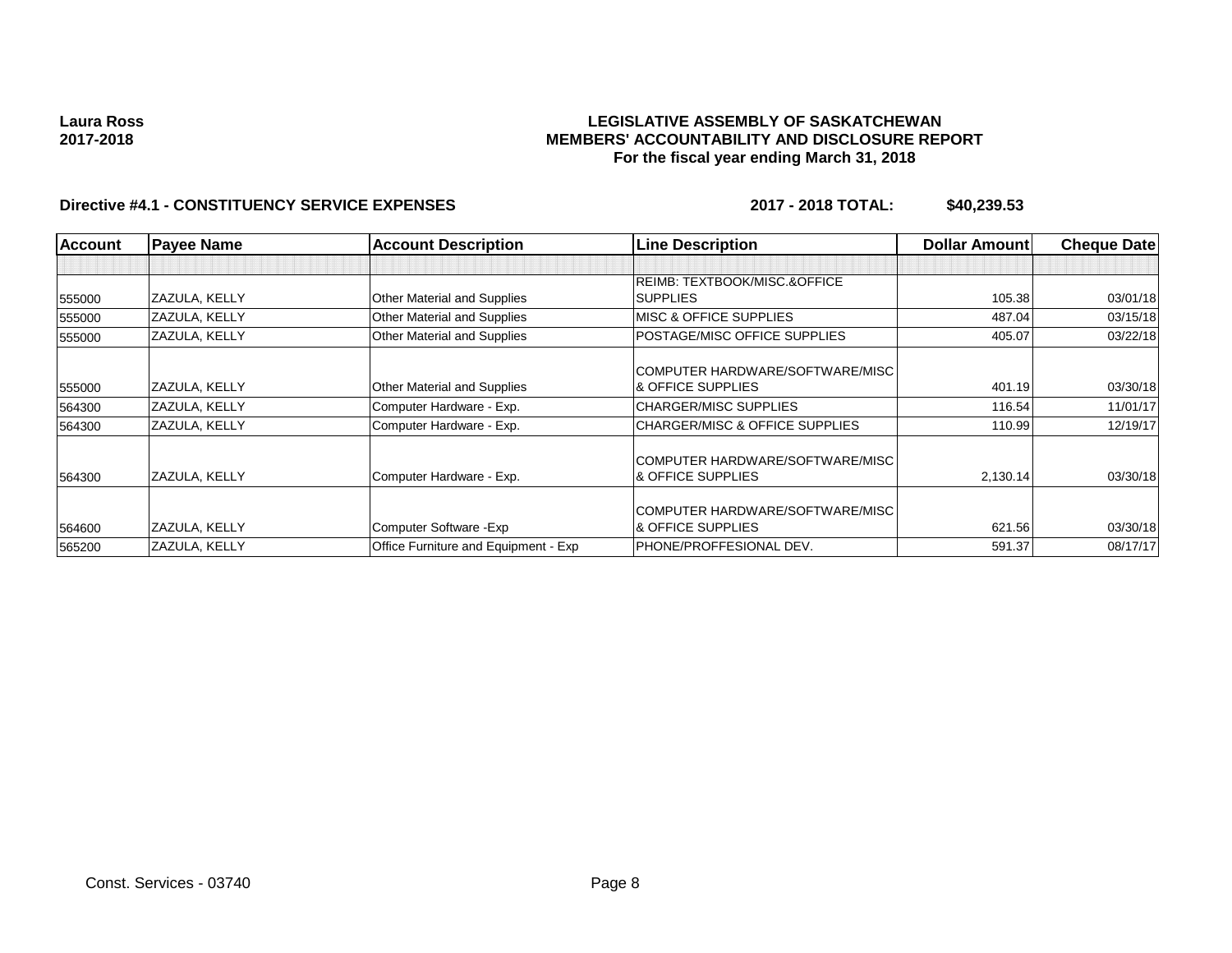### **LEGISLATIVE ASSEMBLY OF SASKATCHEWAN MEMBERS' ACCOUNTABILITY AND DISCLOSURE REPORT For the fiscal year ending March 31, 2018**

| <b>Account</b> | <b>Payee Name</b> | <b>Account Description</b>           | <b>Line Description</b>                   | <b>Dollar Amount</b> | <b>Cheque Date</b> |
|----------------|-------------------|--------------------------------------|-------------------------------------------|----------------------|--------------------|
|                |                   |                                      |                                           |                      |                    |
|                |                   |                                      | REIMB: TEXTBOOK/MISC.&OFFICE              |                      |                    |
| 555000         | ZAZULA, KELLY     | <b>Other Material and Supplies</b>   | <b>SUPPLIES</b>                           | 105.38               | 03/01/18           |
| 555000         | ZAZULA, KELLY     | <b>Other Material and Supplies</b>   | <b>MISC &amp; OFFICE SUPPLIES</b>         | 487.04               | 03/15/18           |
| 555000         | ZAZULA, KELLY     | <b>Other Material and Supplies</b>   | POSTAGE/MISC OFFICE SUPPLIES              | 405.07               | 03/22/18           |
|                |                   |                                      | COMPUTER HARDWARE/SOFTWARE/MISC           |                      |                    |
| 555000         | ZAZULA, KELLY     | Other Material and Supplies          | & OFFICE SUPPLIES                         | 401.19               | 03/30/18           |
| 564300         | ZAZULA, KELLY     | Computer Hardware - Exp.             | <b>CHARGER/MISC SUPPLIES</b>              | 116.54               | 11/01/17           |
| 564300         | ZAZULA, KELLY     | Computer Hardware - Exp.             | <b>CHARGER/MISC &amp; OFFICE SUPPLIES</b> | 110.99               | 12/19/17           |
|                |                   |                                      | COMPUTER HARDWARE/SOFTWARE/MISC           |                      |                    |
| 564300         | ZAZULA, KELLY     | Computer Hardware - Exp.             | & OFFICE SUPPLIES                         | 2,130.14             | 03/30/18           |
|                |                   |                                      | COMPUTER HARDWARE/SOFTWARE/MISC           |                      |                    |
| 564600         | ZAZULA, KELLY     | Computer Software - Exp              | <b>&amp; OFFICE SUPPLIES</b>              | 621.56               | 03/30/18           |
| 565200         | ZAZULA, KELLY     | Office Furniture and Equipment - Exp | PHONE/PROFFESIONAL DEV.                   | 591.37               | 08/17/17           |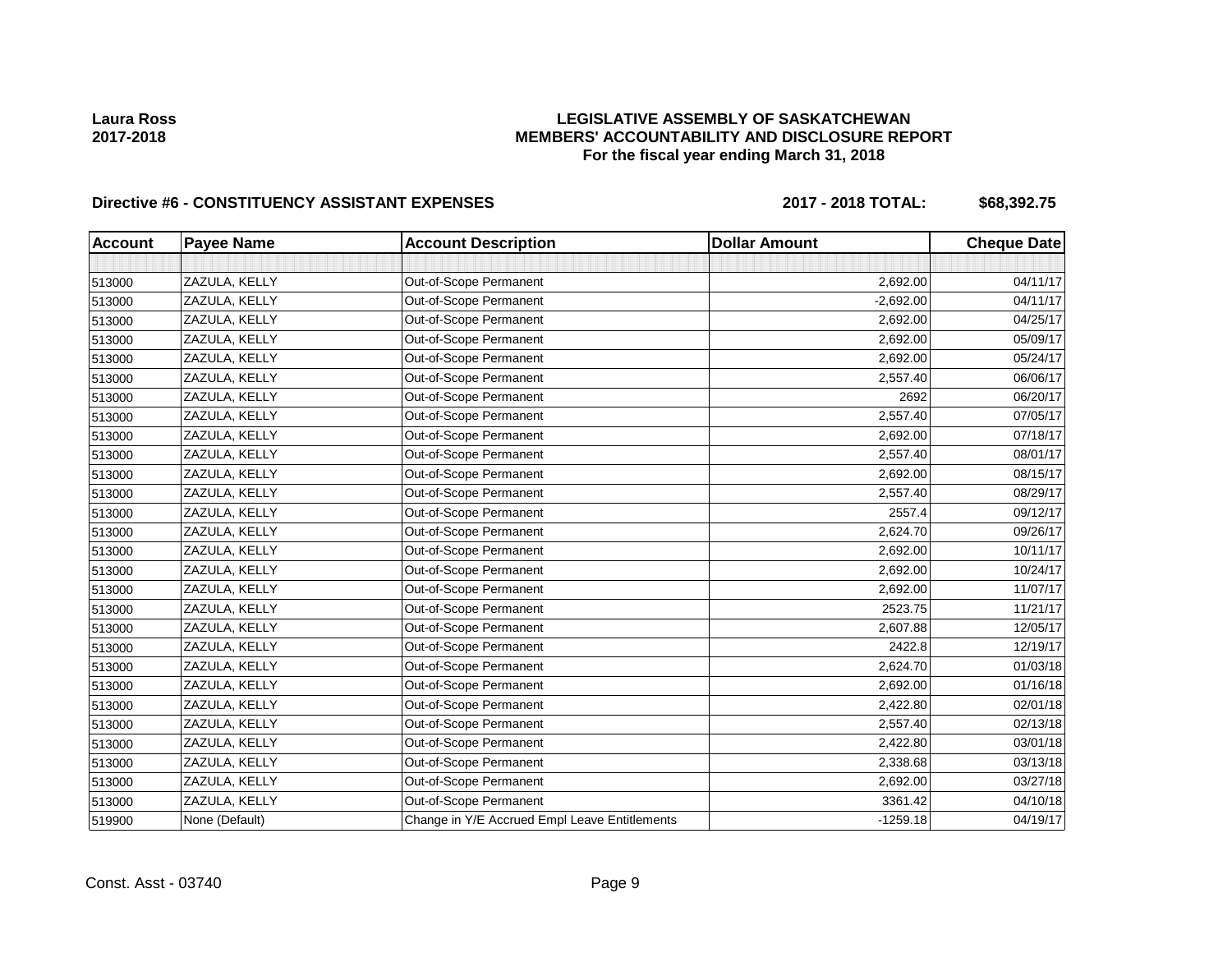# **LEGISLATIVE ASSEMBLY OF SASKATCHEWAN MEMBERS' ACCOUNTABILITY AND DISCLOSURE REPORT For the fiscal year ending March 31, 2018**

# Directive #6 - CONSTITUENCY ASSISTANT EXPENSES 2017 - 2018 TOTAL: \$68,392.75

| <b>Account</b> | <b>Payee Name</b> | <b>Account Description</b>                    | <b>Dollar Amount</b> | <b>Cheque Date</b> |
|----------------|-------------------|-----------------------------------------------|----------------------|--------------------|
|                |                   |                                               |                      |                    |
| 513000         | ZAZULA, KELLY     | Out-of-Scope Permanent                        | 2,692.00             | 04/11/17           |
| 513000         | ZAZULA, KELLY     | Out-of-Scope Permanent                        | $-2,692.00$          | 04/11/17           |
| 513000         | ZAZULA, KELLY     | Out-of-Scope Permanent                        | 2,692.00             | 04/25/17           |
| 513000         | ZAZULA, KELLY     | Out-of-Scope Permanent                        | 2,692.00             | 05/09/17           |
| 513000         | ZAZULA, KELLY     | Out-of-Scope Permanent                        | 2,692.00             | 05/24/17           |
| 513000         | ZAZULA, KELLY     | Out-of-Scope Permanent                        | 2,557.40             | 06/06/17           |
| 513000         | ZAZULA, KELLY     | Out-of-Scope Permanent                        | 2692                 | 06/20/17           |
| 513000         | ZAZULA, KELLY     | Out-of-Scope Permanent                        | 2,557.40             | 07/05/17           |
| 513000         | ZAZULA, KELLY     | Out-of-Scope Permanent                        | 2,692.00             | 07/18/17           |
| 513000         | ZAZULA, KELLY     | Out-of-Scope Permanent                        | 2,557.40             | 08/01/17           |
| 513000         | ZAZULA, KELLY     | Out-of-Scope Permanent                        | 2,692.00             | 08/15/17           |
| 513000         | ZAZULA, KELLY     | Out-of-Scope Permanent                        | 2,557.40             | 08/29/17           |
| 513000         | ZAZULA, KELLY     | Out-of-Scope Permanent                        | 2557.4               | 09/12/17           |
| 513000         | ZAZULA, KELLY     | Out-of-Scope Permanent                        | 2,624.70             | 09/26/17           |
| 513000         | ZAZULA, KELLY     | Out-of-Scope Permanent                        | 2,692.00             | 10/11/17           |
| 513000         | ZAZULA, KELLY     | Out-of-Scope Permanent                        | 2,692.00             | 10/24/17           |
| 513000         | ZAZULA, KELLY     | Out-of-Scope Permanent                        | 2,692.00             | 11/07/17           |
| 513000         | ZAZULA, KELLY     | Out-of-Scope Permanent                        | 2523.75              | 11/21/17           |
| 513000         | ZAZULA, KELLY     | Out-of-Scope Permanent                        | 2,607.88             | 12/05/17           |
| 513000         | ZAZULA, KELLY     | Out-of-Scope Permanent                        | 2422.8               | 12/19/17           |
| 513000         | ZAZULA, KELLY     | Out-of-Scope Permanent                        | 2,624.70             | 01/03/18           |
| 513000         | ZAZULA, KELLY     | Out-of-Scope Permanent                        | 2,692.00             | 01/16/18           |
| 513000         | ZAZULA, KELLY     | Out-of-Scope Permanent                        | 2,422.80             | 02/01/18           |
| 513000         | ZAZULA, KELLY     | Out-of-Scope Permanent                        | 2,557.40             | 02/13/18           |
| 513000         | ZAZULA, KELLY     | Out-of-Scope Permanent                        | 2,422.80             | 03/01/18           |
| 513000         | ZAZULA, KELLY     | Out-of-Scope Permanent                        | 2,338.68             | 03/13/18           |
| 513000         | ZAZULA, KELLY     | Out-of-Scope Permanent                        | 2,692.00             | 03/27/18           |
| 513000         | ZAZULA, KELLY     | Out-of-Scope Permanent                        | 3361.42              | 04/10/18           |
| 519900         | None (Default)    | Change in Y/E Accrued Empl Leave Entitlements | $-1259.18$           | 04/19/17           |